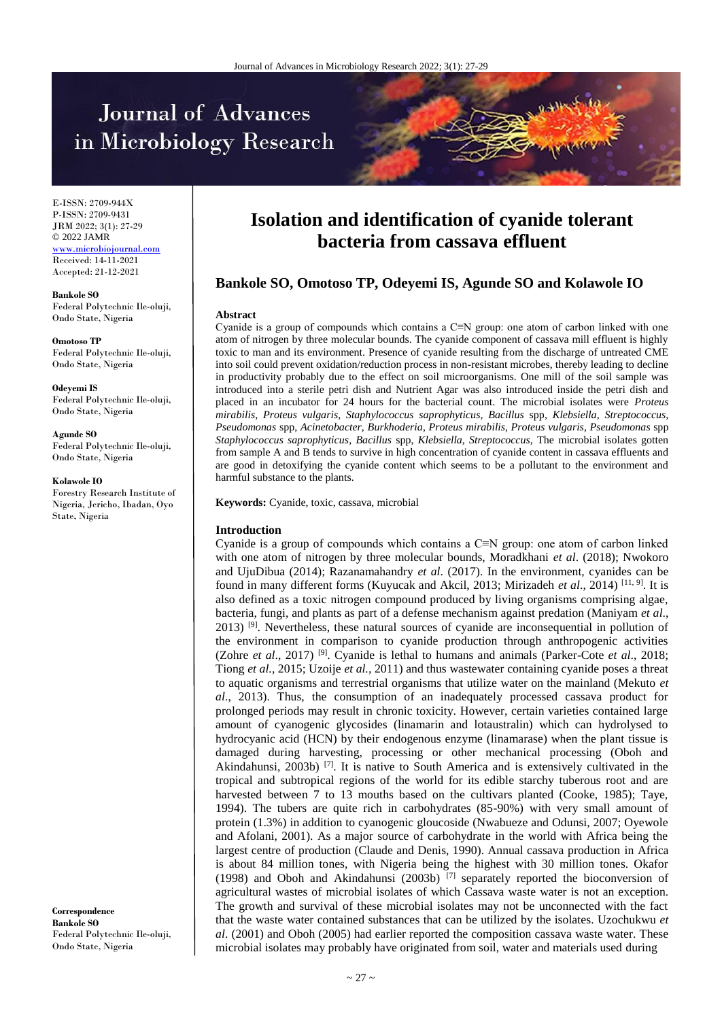# Journal of Advances in Microbiology Research



E-ISSN: 2709-944X P-ISSN: 2709-9431 JRM 2022; 3(1): 27-29 © 2022 JAMR <www.microbiojournal.com> Received: 14-11-2021 Accepted: 21-12-2021

**Bankole SO** Federal Polytechnic Ile-oluji, Ondo State, Nigeria

**Omotoso TP** Federal Polytechnic Ile-oluji, Ondo State, Nigeria

**Odeyemi IS** Federal Polytechnic Ile-oluji, Ondo State, Nigeria

**Agunde SO** Federal Polytechnic Ile-oluji, Ondo State, Nigeria

**Kolawole IO**

Forestry Research Institute of Nigeria, Jericho, Ibadan, Oyo State, Nigeria

**Correspondence Bankole SO** Federal Polytechnic Ile-oluji, Ondo State, Nigeria

## **Isolation and identification of cyanide tolerant bacteria from cassava effluent**

### **Bankole SO, Omotoso TP, Odeyemi IS, Agunde SO and Kolawole IO**

#### **Abstract**

Cyanide is a group of compounds which contains a C≡N group: one atom of carbon linked with one atom of nitrogen by three molecular bounds. The cyanide component of cassava mill effluent is highly toxic to man and its environment. Presence of cyanide resulting from the discharge of untreated CME into soil could prevent oxidation/reduction process in non-resistant microbes, thereby leading to decline in productivity probably due to the effect on soil microorganisms. One mill of the soil sample was introduced into a sterile petri dish and Nutrient Agar was also introduced inside the petri dish and placed in an incubator for 24 hours for the bacterial count. The microbial isolates were *Proteus mirabilis*, *Proteus vulgaris*, *Staphylococcus saprophyticus*, *Bacillus* spp, *Klebsiella*, *Streptococcus*, *Pseudomonas* spp, *Acinetobacter*, *Burkhoderia*, *Proteus mirabilis*, *Proteus vulgaris*, *Pseudomonas* spp *Staphylococcus saprophyticus*, *Bacillus* spp, *Klebsiella*, *Streptococcus*, The microbial isolates gotten from sample A and B tends to survive in high concentration of cyanide content in cassava effluents and are good in detoxifying the cyanide content which seems to be a pollutant to the environment and harmful substance to the plants.

**Keywords:** Cyanide, toxic, cassava, microbial

#### **Introduction**

Cyanide is a group of compounds which contains a C≡N group: one atom of carbon linked with one atom of nitrogen by three molecular bounds, Moradkhani *et al*. (2018); Nwokoro and UjuDibua (2014); Razanamahandry *et al*. (2017). In the environment, cyanides can be found in many different forms (Kuyucak and Akcil, 2013; Mirizadeh *et al*., 2014) [11, 9] . It is also defined as a toxic nitrogen compound produced by living organisms comprising algae, bacteria, fungi, and plants as part of a defense mechanism against predation (Maniyam *et al*., 2013)  $[9]$ . Nevertheless, these natural sources of cyanide are inconsequential in pollution of the environment in comparison to cyanide production through anthropogenic activities (Zohre *et al*., 2017) [9]. Cyanide is lethal to humans and animals (Parker-Cote *et al*., 2018; Tiong *et al.,* 2015; Uzoije *et al.,* 2011) and thus wastewater containing cyanide poses a threat to aquatic organisms and terrestrial organisms that utilize water on the mainland (Mekuto *et al*., 2013). Thus, the consumption of an inadequately processed cassava product for prolonged periods may result in chronic toxicity. However, certain varieties contained large amount of cyanogenic glycosides (linamarin and lotaustralin) which can hydrolysed to hydrocyanic acid (HCN) by their endogenous enzyme (linamarase) when the plant tissue is damaged during harvesting, processing or other mechanical processing (Oboh and Akindahunsi, 2003b)  $[7]$ . It is native to South America and is extensively cultivated in the tropical and subtropical regions of the world for its edible starchy tuberous root and are harvested between 7 to 13 mouths based on the cultivars planted (Cooke, 1985); Taye, 1994). The tubers are quite rich in carbohydrates (85-90%) with very small amount of protein (1.3%) in addition to cyanogenic gloucoside (Nwabueze and Odunsi, 2007; Oyewole and Afolani, 2001). As a major source of carbohydrate in the world with Africa being the largest centre of production (Claude and Denis, 1990). Annual cassava production in Africa is about 84 million tones, with Nigeria being the highest with 30 million tones. Okafor (1998) and Oboh and Akindahunsi (2003b) [7] separately reported the bioconversion of agricultural wastes of microbial isolates of which Cassava waste water is not an exception. The growth and survival of these microbial isolates may not be unconnected with the fact that the waste water contained substances that can be utilized by the isolates. Uzochukwu *et al*. (2001) and Oboh (2005) had earlier reported the composition cassava waste water. These microbial isolates may probably have originated from soil, water and materials used during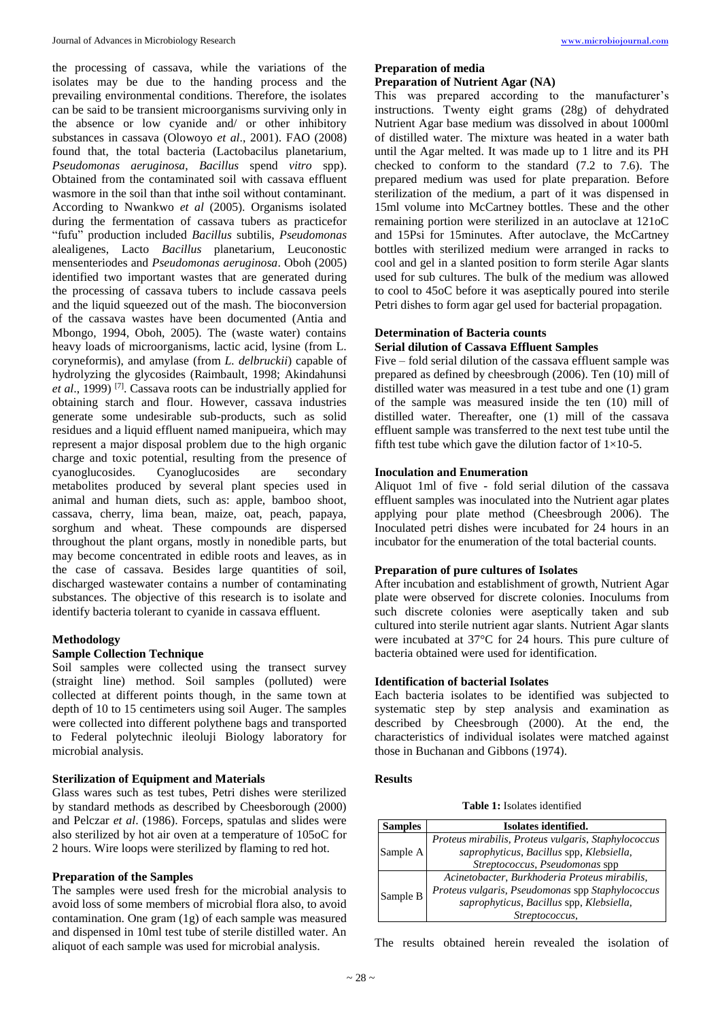the processing of cassava, while the variations of the isolates may be due to the handing process and the prevailing environmental conditions. Therefore, the isolates can be said to be transient microorganisms surviving only in the absence or low cyanide and/ or other inhibitory substances in cassava (Olowoyo *et al*., 2001). FAO (2008) found that, the total bacteria (Lactobacilus planetarium, *Pseudomonas aeruginosa*, *Bacillus* spend *vitro* spp). Obtained from the contaminated soil with cassava effluent wasmore in the soil than that inthe soil without contaminant. According to Nwankwo *et al* (2005). Organisms isolated during the fermentation of cassava tubers as practicefor "fufu" production included *Bacillus* subtilis, *Pseudomonas* alealigenes, Lacto *Bacillus* planetarium, Leuconostic mensenteriodes and *Pseudomonas aeruginosa*. Oboh (2005) identified two important wastes that are generated during the processing of cassava tubers to include cassava peels and the liquid squeezed out of the mash. The bioconversion of the cassava wastes have been documented (Antia and Mbongo, 1994, Oboh, 2005). The (waste water) contains heavy loads of microorganisms, lactic acid, lysine (from L. coryneformis), and amylase (from *L. delbruckii*) capable of hydrolyzing the glycosides (Raimbault, 1998; Akindahunsi *et al*., 1999) [7]. Cassava roots can be industrially applied for obtaining starch and flour. However, cassava industries generate some undesirable sub-products, such as solid residues and a liquid effluent named manipueira, which may represent a major disposal problem due to the high organic charge and toxic potential, resulting from the presence of cyanoglucosides. Cyanoglucosides are secondary metabolites produced by several plant species used in animal and human diets, such as: apple, bamboo shoot, cassava, cherry, lima bean, maize, oat, peach, papaya, sorghum and wheat. These compounds are dispersed throughout the plant organs, mostly in nonedible parts, but may become concentrated in edible roots and leaves, as in the case of cassava. Besides large quantities of soil, discharged wastewater contains a number of contaminating substances. The objective of this research is to isolate and identify bacteria tolerant to cyanide in cassava effluent.

#### **Methodology**

#### **Sample Collection Technique**

Soil samples were collected using the transect survey (straight line) method. Soil samples (polluted) were collected at different points though, in the same town at depth of 10 to 15 centimeters using soil Auger. The samples were collected into different polythene bags and transported to Federal polytechnic ileoluji Biology laboratory for microbial analysis.

#### **Sterilization of Equipment and Materials**

Glass wares such as test tubes, Petri dishes were sterilized by standard methods as described by Cheesborough (2000) and Pelczar *et al*. (1986). Forceps, spatulas and slides were also sterilized by hot air oven at a temperature of 105oC for 2 hours. Wire loops were sterilized by flaming to red hot.

#### **Preparation of the Samples**

The samples were used fresh for the microbial analysis to avoid loss of some members of microbial flora also, to avoid contamination. One gram (1g) of each sample was measured and dispensed in 10ml test tube of sterile distilled water. An aliquot of each sample was used for microbial analysis.

#### **Preparation of media**

#### **Preparation of Nutrient Agar (NA)**

This was prepared according to the manufacturer's instructions. Twenty eight grams (28g) of dehydrated Nutrient Agar base medium was dissolved in about 1000ml of distilled water. The mixture was heated in a water bath until the Agar melted. It was made up to 1 litre and its PH checked to conform to the standard (7.2 to 7.6). The prepared medium was used for plate preparation. Before sterilization of the medium, a part of it was dispensed in 15ml volume into McCartney bottles. These and the other remaining portion were sterilized in an autoclave at 121oC and 15Psi for 15minutes. After autoclave, the McCartney bottles with sterilized medium were arranged in racks to cool and gel in a slanted position to form sterile Agar slants used for sub cultures. The bulk of the medium was allowed to cool to 45oC before it was aseptically poured into sterile Petri dishes to form agar gel used for bacterial propagation.

#### **Determination of Bacteria counts**

#### **Serial dilution of Cassava Effluent Samples**

Five – fold serial dilution of the cassava effluent sample was prepared as defined by cheesbrough (2006). Ten (10) mill of distilled water was measured in a test tube and one (1) gram of the sample was measured inside the ten (10) mill of distilled water. Thereafter, one (1) mill of the cassava effluent sample was transferred to the next test tube until the fifth test tube which gave the dilution factor of  $1\times10-5$ .

#### **Inoculation and Enumeration**

Aliquot 1ml of five - fold serial dilution of the cassava effluent samples was inoculated into the Nutrient agar plates applying pour plate method (Cheesbrough 2006). The Inoculated petri dishes were incubated for 24 hours in an incubator for the enumeration of the total bacterial counts.

#### **Preparation of pure cultures of Isolates**

After incubation and establishment of growth, Nutrient Agar plate were observed for discrete colonies. Inoculums from such discrete colonies were aseptically taken and sub cultured into sterile nutrient agar slants. Nutrient Agar slants were incubated at 37°C for 24 hours. This pure culture of bacteria obtained were used for identification.

#### **Identification of bacterial Isolates**

Each bacteria isolates to be identified was subjected to systematic step by step analysis and examination as described by Cheesbrough (2000). At the end, the characteristics of individual isolates were matched against those in Buchanan and Gibbons (1974).

#### **Results**

**Table 1:** Isolates identified

| <b>Samples</b> | Isolates identified.                                |
|----------------|-----------------------------------------------------|
| Sample A       | Proteus mirabilis, Proteus vulgaris, Staphylococcus |
|                | saprophyticus, Bacillus spp, Klebsiella,            |
|                | Streptococcus, Pseudomonas spp                      |
| Sample B       | Acinetobacter, Burkhoderia Proteus mirabilis,       |
|                | Proteus vulgaris, Pseudomonas spp Staphylococcus    |
|                | saprophyticus, Bacillus spp, Klebsiella,            |
|                | Streptococcus,                                      |

The results obtained herein revealed the isolation of